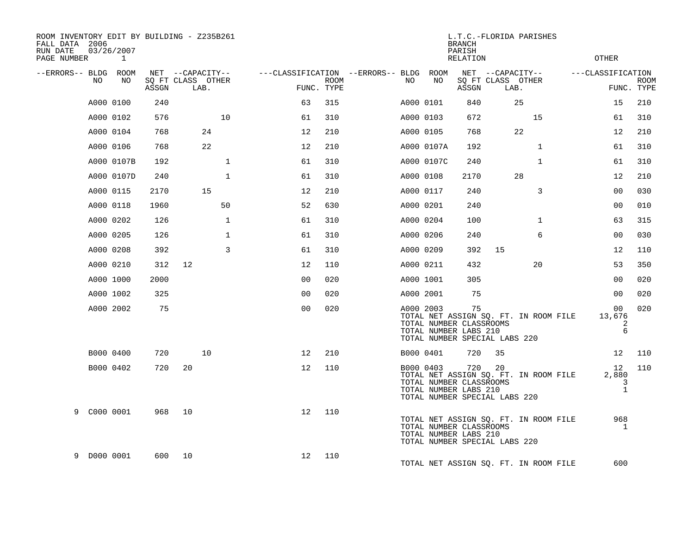| ROOM INVENTORY EDIT BY BUILDING - Z235B261<br>FALL DATA 2006<br>RUN DATE<br>PAGE NUMBER 1 | 03/26/2007 |       |                           |                                        |      |    |            | <b>BRANCH</b><br>PARISH<br><b>RELATION</b>              | L.T.C.-FLORIDA PARISHES             |                                       | OTHER                               |                           |
|-------------------------------------------------------------------------------------------|------------|-------|---------------------------|----------------------------------------|------|----|------------|---------------------------------------------------------|-------------------------------------|---------------------------------------|-------------------------------------|---------------------------|
| --ERRORS-- BLDG ROOM                                                                      |            |       | NET --CAPACITY--          | ---CLASSIFICATION --ERRORS-- BLDG ROOM |      |    |            |                                                         | NET --CAPACITY--                    |                                       | ---CLASSIFICATION                   |                           |
| NO                                                                                        | NO         | ASSGN | SO FT CLASS OTHER<br>LAB. | FUNC. TYPE                             | ROOM | NO | NO         | ASSGN                                                   | SQ FT CLASS OTHER<br>LAB.           |                                       |                                     | <b>ROOM</b><br>FUNC. TYPE |
|                                                                                           | A000 0100  | 240   |                           | 63                                     | 315  |    | A000 0101  | 840                                                     | 25                                  |                                       | 15                                  | 210                       |
|                                                                                           | A000 0102  | 576   | 10 <sup>°</sup>           | 61                                     | 310  |    | A000 0103  | 672                                                     |                                     | 15                                    | 61                                  | 310                       |
|                                                                                           | A000 0104  | 768   | 24                        | 12                                     | 210  |    | A000 0105  | 768                                                     | 22                                  |                                       | 12                                  | 210                       |
|                                                                                           | A000 0106  | 768   | 22                        | 12                                     | 210  |    | A000 0107A | 192                                                     |                                     | $\mathbf{1}$                          | 61                                  | 310                       |
|                                                                                           | A000 0107B | 192   | $\mathbf{1}$              | 61                                     | 310  |    | A000 0107C | 240                                                     |                                     | $\mathbf{1}$                          | 61                                  | 310                       |
|                                                                                           | A000 0107D | 240   | $\mathbf{1}$              | 61                                     | 310  |    | A000 0108  | 2170                                                    | 28                                  |                                       | 12                                  | 210                       |
|                                                                                           | A000 0115  | 2170  | 15                        | 12                                     | 210  |    | A000 0117  | 240                                                     |                                     | 3                                     | 0 <sub>0</sub>                      | 030                       |
|                                                                                           | A000 0118  | 1960  | 50                        | 52                                     | 630  |    | A000 0201  | 240                                                     |                                     |                                       | 00                                  | 010                       |
|                                                                                           | A000 0202  | 126   | $\mathbf{1}$              | 61                                     | 310  |    | A000 0204  | 100                                                     |                                     | $\mathbf{1}$                          | 63                                  | 315                       |
|                                                                                           | A000 0205  | 126   | $\mathbf{1}$              | 61                                     | 310  |    | A000 0206  | 240                                                     |                                     | 6                                     | 00                                  | 030                       |
|                                                                                           | A000 0208  | 392   | 3                         | 61                                     | 310  |    | A000 0209  | 392                                                     | 15                                  |                                       | 12                                  | 110                       |
|                                                                                           | A000 0210  | 312   | 12                        | 12                                     | 110  |    | A000 0211  | 432                                                     |                                     | 20                                    | 53                                  | 350                       |
|                                                                                           | A000 1000  | 2000  |                           | 0 <sub>0</sub>                         | 020  |    | A000 1001  | 305                                                     |                                     |                                       | 00                                  | 020                       |
|                                                                                           | A000 1002  | 325   |                           | 0 <sub>0</sub>                         | 020  |    | A000 2001  | 75                                                      |                                     |                                       | 00                                  | 020                       |
|                                                                                           | A000 2002  | 75    |                           | 0 <sub>0</sub>                         | 020  |    | A000 2003  | 75<br>TOTAL NUMBER CLASSROOMS<br>TOTAL NUMBER LABS 210  | TOTAL NUMBER SPECIAL LABS 220       | TOTAL NET ASSIGN SQ. FT. IN ROOM FILE | 00 <sub>o</sub><br>13,676<br>2<br>6 | 020                       |
|                                                                                           | B000 0400  | 720   | 10                        | 12                                     | 210  |    | B000 0401  | 720                                                     | 35                                  |                                       | 12                                  | 110                       |
|                                                                                           | B000 0402  | 720   | 20                        | 12                                     | 110  |    | B000 0403  | 720<br>TOTAL NUMBER CLASSROOMS<br>TOTAL NUMBER LABS 210 | 20<br>TOTAL NUMBER SPECIAL LABS 220 | TOTAL NET ASSIGN SQ. FT. IN ROOM FILE | 12<br>2,880<br>3<br>$\mathbf{1}$    | 110                       |
| 9 C000 0001                                                                               |            | 968   | 10                        | 12                                     | 110  |    |            | TOTAL NUMBER CLASSROOMS<br>TOTAL NUMBER LABS 210        | TOTAL NUMBER SPECIAL LABS 220       | TOTAL NET ASSIGN SQ. FT. IN ROOM FILE | 968<br>$\mathbf{1}$                 |                           |
| 9 D000 0001                                                                               |            |       | 600 10                    | 12                                     | 110  |    |            |                                                         |                                     | TOTAL NET ASSIGN SO. FT. IN ROOM FILE | 600                                 |                           |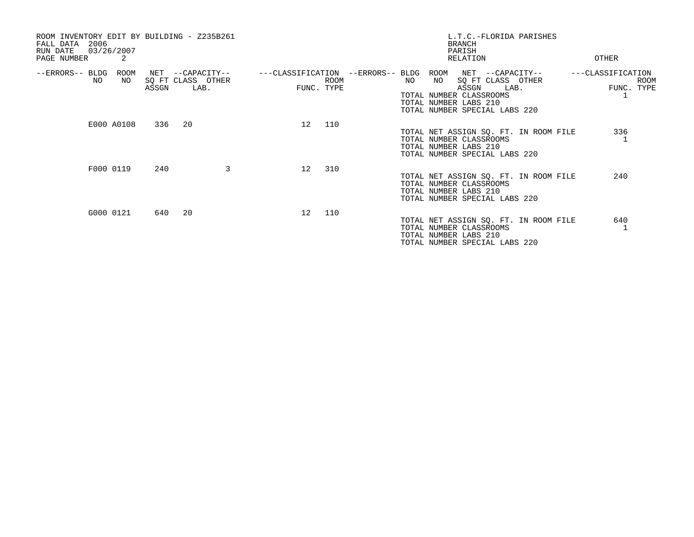| ROOM INVENTORY EDIT BY BUILDING - Z235B261<br>2006<br>FALL DATA<br>03/26/2007<br>RUN DATE<br>2<br>PAGE NUMBER | L.T.C.-FLORIDA PARISHES<br><b>BRANCH</b><br>PARISH<br>RELATION<br>OTHER                                                                                                                                                                                                             |
|---------------------------------------------------------------------------------------------------------------|-------------------------------------------------------------------------------------------------------------------------------------------------------------------------------------------------------------------------------------------------------------------------------------|
| --ERRORS-- BLDG<br>ROOM<br>NET<br>--CAPACITY--<br>NO<br>SQ FT CLASS OTHER<br>NO<br>ASSGN<br>LAB.              | ---CLASSIFICATION<br>---CLASSIFICATION --ERRORS-- BLDG<br>ROOM<br>NET --CAPACITY--<br><b>ROOM</b><br>NO<br>SQ FT CLASS OTHER<br><b>ROOM</b><br>NO<br>FUNC. TYPE<br>FUNC. TYPE<br>ASSGN<br>LAB.<br>TOTAL NUMBER CLASSROOMS<br>TOTAL NUMBER LABS 210<br>TOTAL NUMBER SPECIAL LABS 220 |
| E000 A0108<br>336<br>20                                                                                       | 110<br>12<br>336<br>TOTAL NET ASSIGN SQ. FT. IN ROOM FILE<br>TOTAL NUMBER CLASSROOMS<br>TOTAL NUMBER LABS 210<br>TOTAL NUMBER SPECIAL LABS 220                                                                                                                                      |
| 3<br>F000 0119<br>240                                                                                         | 310<br>12<br>240<br>TOTAL NET ASSIGN SQ. FT. IN ROOM FILE<br>TOTAL NUMBER CLASSROOMS<br>TOTAL NUMBER LABS 210<br>TOTAL NUMBER SPECIAL LABS 220                                                                                                                                      |
| G000 0121<br>640 20                                                                                           | 110<br>12<br>640<br>TOTAL NET ASSIGN SQ. FT. IN ROOM FILE<br>TOTAL NUMBER CLASSROOMS<br>TOTAL NUMBER LABS 210<br>TOTAL NUMBER SPECIAL LABS 220                                                                                                                                      |